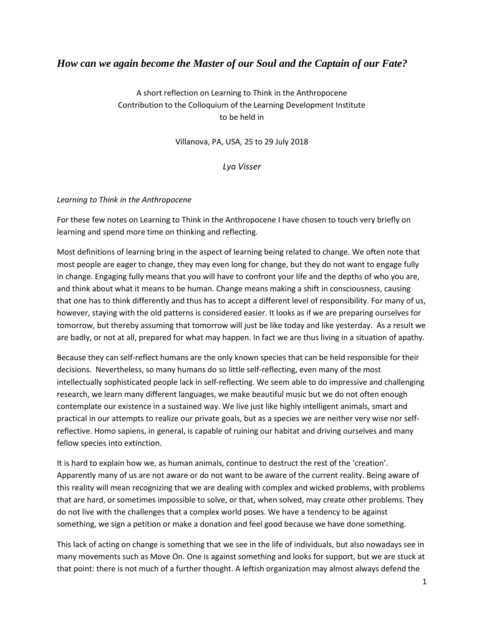## *How can we again become the Master of our Soul and the Captain of our Fate?*

A short reflection on Learning to Think in the Anthropocene Contribution to the Colloquium of the Learning Development Institute to be held in

Villanova, PA, USA, 25 to 29 July 2018

*Lya Visser*

## *Learning to Think in the Anthropocene*

For these few notes on Learning to Think in the Anthropocene I have chosen to touch very briefly on learning and spend more time on thinking and reflecting.

Most definitions of learning bring in the aspect of learning being related to change. We often note that most people are eager to change, they may even long for change, but they do not want to engage fully in change. Engaging fully means that you will have to confront your life and the depths of who you are, and think about what it means to be human. Change means making a shift in consciousness, causing that one has to think differently and thus has to accept a different level of responsibility. For many of us, however, staying with the old patterns is considered easier. It looks as if we are preparing ourselves for tomorrow, but thereby assuming that tomorrow will just be like today and like yesterday. As a result we are badly, or not at all, prepared for what may happen. In fact we are thus living in a situation of apathy.

Because they can self-reflect humans are the only known species that can be held responsible for their decisions. Nevertheless, so many humans do so little self-reflecting, even many of the most intellectually sophisticated people lack in self-reflecting. We seem able to do impressive and challenging research, we learn many different languages, we make beautiful music but we do not often enough contemplate our existence in a sustained way. We live just like highly intelligent animals, smart and practical in our attempts to realize our private goals, but as a species we are neither very wise nor selfreflective. Homo sapiens, in general, is capable of ruining our habitat and driving ourselves and many fellow species into extinction.

It is hard to explain how we, as human animals, continue to destruct the rest of the 'creation'. Apparently many of us are not aware or do not want to be aware of the current reality. Being aware of this reality will mean recognizing that we are dealing with complex and wicked problems, with problems that are hard, or sometimes impossible to solve, or that, when solved, may create other problems. They do not live with the challenges that a complex world poses. We have a tendency to be against something, we sign a petition or make a donation and feel good because we have done something.

This lack of acting on change is something that we see in the life of individuals, but also nowadays see in many movements such as Move On. One is against something and looks for support, but we are stuck at that point: there is not much of a further thought. A leftish organization may almost always defend the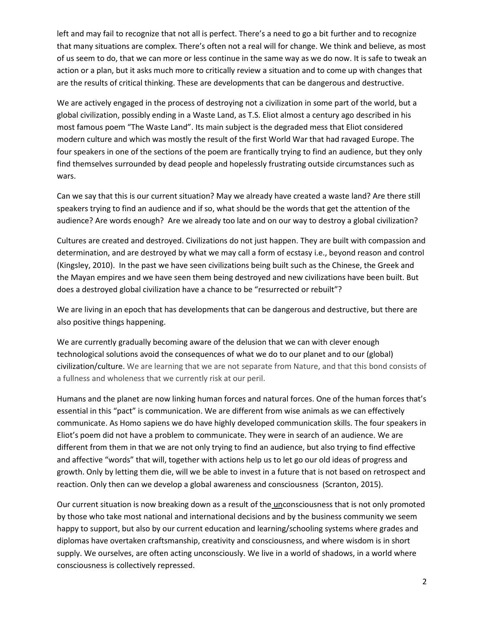left and may fail to recognize that not all is perfect. There's a need to go a bit further and to recognize that many situations are complex. There's often not a real will for change. We think and believe, as most of us seem to do, that we can more or less continue in the same way as we do now. It is safe to tweak an action or a plan, but it asks much more to critically review a situation and to come up with changes that are the results of critical thinking. These are developments that can be dangerous and destructive.

We are actively engaged in the process of destroying not a civilization in some part of the world, but a global civilization, possibly ending in a Waste Land, as T.S. Eliot almost a century ago described in his most famous poem "The Waste Land". Its main subject is the degraded mess that Eliot considered modern culture and which was mostly the result of the first World War that had ravaged Europe. The four speakers in one of the sections of the poem are frantically trying to find an audience, but they only find themselves surrounded by dead people and hopelessly frustrating outside circumstances such as wars.

Can we say that this is our current situation? May we already have created a waste land? Are there still speakers trying to find an audience and if so, what should be the words that get the attention of the audience? Are words enough? Are we already too late and on our way to destroy a global civilization?

Cultures are created and destroyed. Civilizations do not just happen. They are built with compassion and determination, and are destroyed by what we may call a form of ecstasy i.e., beyond reason and control (Kingsley, 2010). In the past we have seen civilizations being built such as the Chinese, the Greek and the Mayan empires and we have seen them being destroyed and new civilizations have been built. But does a destroyed global civilization have a chance to be "resurrected or rebuilt"?

We are living in an epoch that has developments that can be dangerous and destructive, but there are also positive things happening.

We are currently gradually becoming aware of the delusion that we can with clever enough technological solutions avoid the consequences of what we do to our planet and to our (global) civilization/culture. We are learning that we are not separate from Nature, and that this bond consists of a fullness and wholeness that we currently risk at our peril.

Humans and the planet are now linking human forces and natural forces. One of the human forces that's essential in this "pact" is communication. We are different from wise animals as we can effectively communicate. As Homo sapiens we do have highly developed communication skills. The four speakers in Eliot's poem did not have a problem to communicate. They were in search of an audience. We are different from them in that we are not only trying to find an audience, but also trying to find effective and affective "words" that will, together with actions help us to let go our old ideas of progress and growth. Only by letting them die, will we be able to invest in a future that is not based on retrospect and reaction. Only then can we develop a global awareness and consciousness (Scranton, 2015).

Our current situation is now breaking down as a result of the unconsciousness that is not only promoted by those who take most national and international decisions and by the business community we seem happy to support, but also by our current education and learning/schooling systems where grades and diplomas have overtaken craftsmanship, creativity and consciousness, and where wisdom is in short supply. We ourselves, are often acting unconsciously. We live in a world of shadows, in a world where consciousness is collectively repressed.